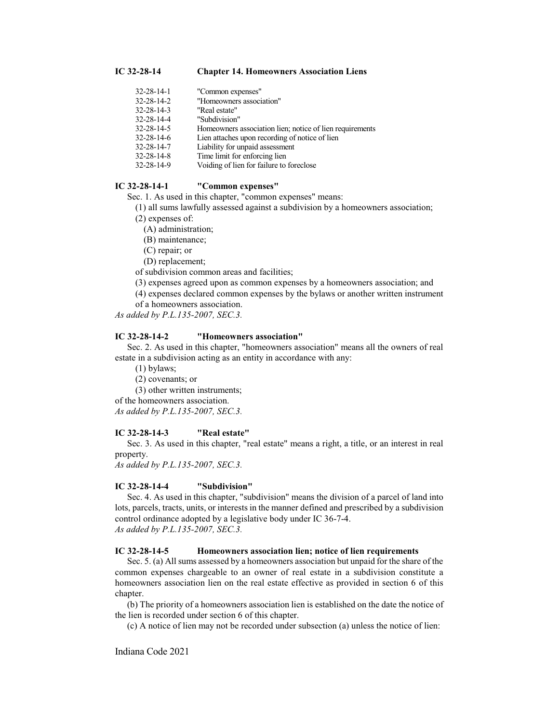#### **IC 32-28-14 Chapter 14. Homeowners Association Liens**

| $32 - 28 - 14 - 1$ | "Common expenses"                                        |
|--------------------|----------------------------------------------------------|
| $32 - 28 - 14 - 2$ | "Homeowners association"                                 |
| $32 - 28 - 14 - 3$ | "Real estate"                                            |
| 32-28-14-4         | "Subdivision"                                            |
| $32 - 28 - 14 - 5$ | Homeowners association lien; notice of lien requirements |
| $32 - 28 - 14 - 6$ | Lien attaches upon recording of notice of lien           |
| $32 - 28 - 14 - 7$ | Liability for unpaid assessment                          |
| $32 - 28 - 14 - 8$ | Time limit for enforcing lien                            |
| 32-28-14-9         | Voiding of lien for failure to foreclose                 |
|                    |                                                          |

# **IC 32-28-14-1 "Common expenses"**

Sec. 1. As used in this chapter, "common expenses" means:

(1) all sums lawfully assessed against a subdivision by a homeowners association;

(2) expenses of:

(A) administration;

(B) maintenance;

(C) repair; or

(D) replacement;

of subdivision common areas and facilities;

(3) expenses agreed upon as common expenses by a homeowners association; and

(4) expenses declared common expenses by the bylaws or another written instrument

of a homeowners association.

*As added by P.L.135-2007, SEC.3.*

# **IC 32-28-14-2 "Homeowners association"**

Sec. 2. As used in this chapter, "homeowners association" means all the owners of real estate in a subdivision acting as an entity in accordance with any:

(1) bylaws;

(2) covenants; or

(3) other written instruments;

of the homeowners association.

*As added by P.L.135-2007, SEC.3.*

# **IC 32-28-14-3 "Real estate"**

Sec. 3. As used in this chapter, "real estate" means a right, a title, or an interest in real property.

*As added by P.L.135-2007, SEC.3.*

## **IC 32-28-14-4 "Subdivision"**

Sec. 4. As used in this chapter, "subdivision" means the division of a parcel of land into lots, parcels, tracts, units, or interests in the manner defined and prescribed by a subdivision control ordinance adopted by a legislative body under IC 36-7-4. *As added by P.L.135-2007, SEC.3.*

#### **IC 32-28-14-5 Homeowners association lien; notice of lien requirements**

Sec. 5. (a) All sums assessed by a homeowners association but unpaid for the share of the common expenses chargeable to an owner of real estate in a subdivision constitute a homeowners association lien on the real estate effective as provided in section 6 of this chapter.

(b) The priority of a homeowners association lien is established on the date the notice of the lien is recorded under section 6 of this chapter.

(c) A notice of lien may not be recorded under subsection (a) unless the notice of lien:

Indiana Code 2021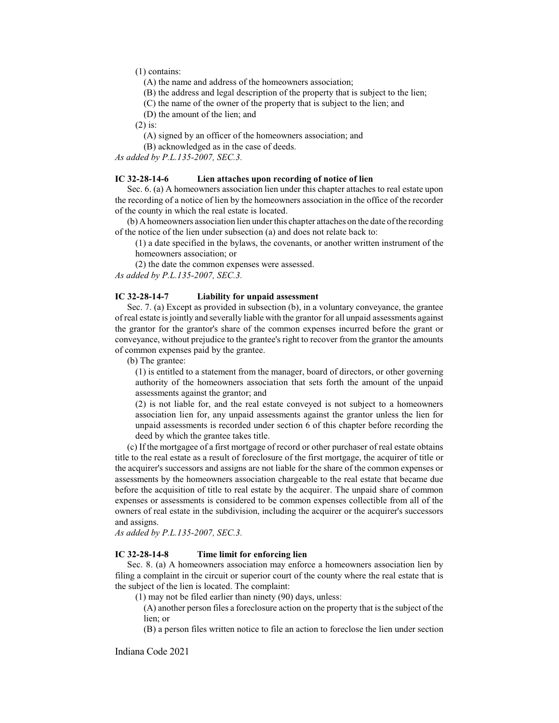(1) contains:

(A) the name and address of the homeowners association;

(B) the address and legal description of the property that is subject to the lien;

(C) the name of the owner of the property that is subject to the lien; and

(D) the amount of the lien; and

(2) is:

(A) signed by an officer of the homeowners association; and

(B) acknowledged as in the case of deeds.

*As added by P.L.135-2007, SEC.3.*

## **IC 32-28-14-6 Lien attaches upon recording of notice of lien**

Sec. 6. (a) A homeowners association lien under this chapter attaches to real estate upon the recording of a notice of lien by the homeowners association in the office of the recorder of the county in which the real estate is located.

(b) A homeowners association lien under this chapter attaches on the date ofthe recording of the notice of the lien under subsection (a) and does not relate back to:

(1) a date specified in the bylaws, the covenants, or another written instrument of the homeowners association; or

(2) the date the common expenses were assessed.

*As added by P.L.135-2007, SEC.3.*

# **IC 32-28-14-7 Liability for unpaid assessment**

Sec. 7. (a) Except as provided in subsection (b), in a voluntary conveyance, the grantee of real estate is jointly and severally liable with the grantor for all unpaid assessments against the grantor for the grantor's share of the common expenses incurred before the grant or conveyance, without prejudice to the grantee's right to recover from the grantor the amounts of common expenses paid by the grantee.

(b) The grantee:

(1) is entitled to a statement from the manager, board of directors, or other governing authority of the homeowners association that sets forth the amount of the unpaid assessments against the grantor; and

(2) is not liable for, and the real estate conveyed is not subject to a homeowners association lien for, any unpaid assessments against the grantor unless the lien for unpaid assessments is recorded under section 6 of this chapter before recording the deed by which the grantee takes title.

(c) If the mortgagee of a first mortgage of record or other purchaser of real estate obtains title to the real estate as a result of foreclosure of the first mortgage, the acquirer of title or the acquirer's successors and assigns are not liable for the share of the common expenses or assessments by the homeowners association chargeable to the real estate that became due before the acquisition of title to real estate by the acquirer. The unpaid share of common expenses or assessments is considered to be common expenses collectible from all of the owners of real estate in the subdivision, including the acquirer or the acquirer's successors and assigns.

*As added by P.L.135-2007, SEC.3.*

## **IC 32-28-14-8 Time limit for enforcing lien**

Sec. 8. (a) A homeowners association may enforce a homeowners association lien by filing a complaint in the circuit or superior court of the county where the real estate that is the subject of the lien is located. The complaint:

(1) may not be filed earlier than ninety (90) days, unless:

(A) another person files a foreclosure action on the property that is the subject of the lien; or

(B) a person files written notice to file an action to foreclose the lien under section

Indiana Code 2021